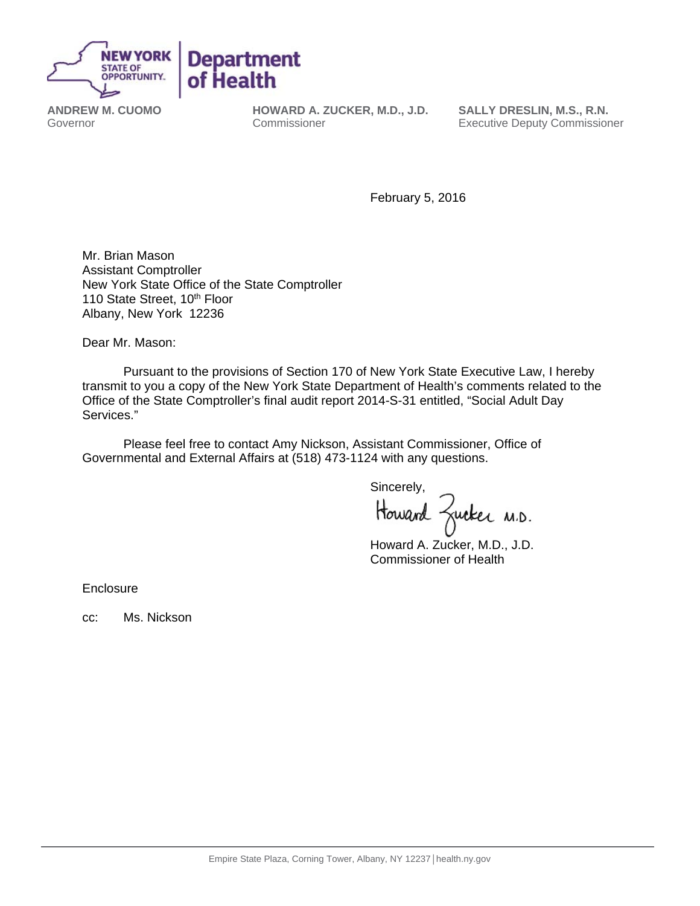

**ANDREW M. CUOMO**  Governor

**HOWARD A. ZUCKER, M.D., J.D.**  Commissioner

**SALLY DRESLIN, M.S., R.N.**  Executive Deputy Commissioner

February 5, 2016

Mr. Brian Mason Assistant Comptroller New York State Office of the State Comptroller 110 State Street, 10<sup>th</sup> Floor Albany, New York 12236

Dear Mr. Mason:

 Pursuant to the provisions of Section 170 of New York State Executive Law, I hereby transmit to you a copy of the New York State Department of Health's comments related to the Office of the State Comptroller's final audit report 2014-S-31 entitled, "Social Adult Day Services."

 Please feel free to contact Amy Nickson, Assistant Commissioner, Office of Governmental and External Affairs at (518) 473-1124 with any questions.

Sincerely,

Howard Zucker M.D.

 Howard A. Zucker, M.D., J.D. Commissioner of Health

**Enclosure** 

cc: Ms. Nickson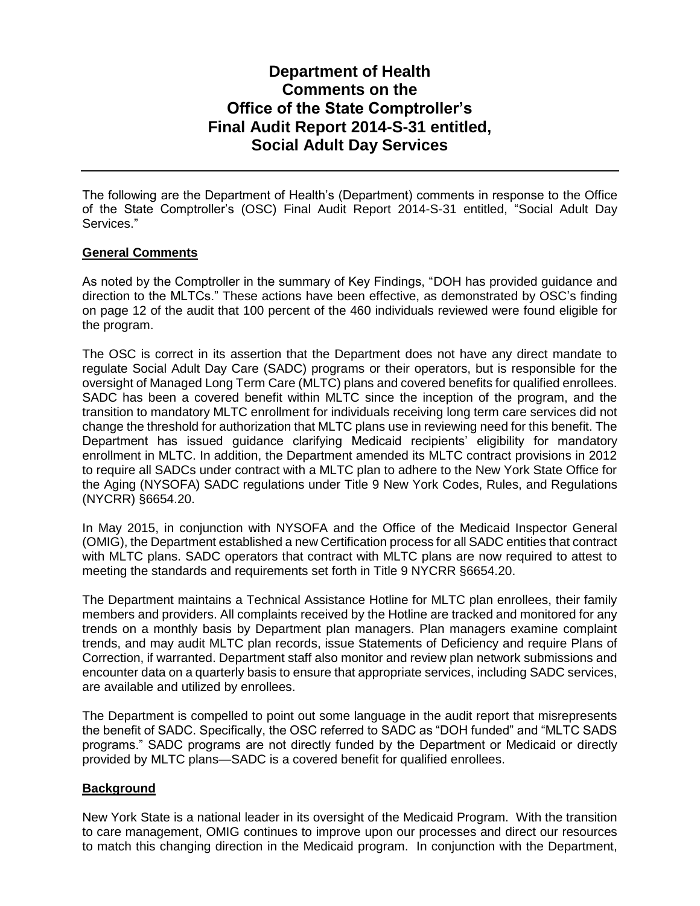# **Department of Health Comments on the Office of the State Comptroller's Final Audit Report 2014-S-31 entitled, Social Adult Day Services**

The following are the Department of Health's (Department) comments in response to the Office of the State Comptroller's (OSC) Final Audit Report 2014-S-31 entitled, "Social Adult Day Services."

# **General Comments**

As noted by the Comptroller in the summary of Key Findings, "DOH has provided guidance and direction to the MLTCs." These actions have been effective, as demonstrated by OSC's finding on page 12 of the audit that 100 percent of the 460 individuals reviewed were found eligible for the program.

The OSC is correct in its assertion that the Department does not have any direct mandate to regulate Social Adult Day Care (SADC) programs or their operators, but is responsible for the oversight of Managed Long Term Care (MLTC) plans and covered benefits for qualified enrollees. SADC has been a covered benefit within MLTC since the inception of the program, and the transition to mandatory MLTC enrollment for individuals receiving long term care services did not change the threshold for authorization that MLTC plans use in reviewing need for this benefit. The Department has issued guidance clarifying Medicaid recipients' eligibility for mandatory enrollment in MLTC. In addition, the Department amended its MLTC contract provisions in 2012 to require all SADCs under contract with a MLTC plan to adhere to the New York State Office for the Aging (NYSOFA) SADC regulations under Title 9 New York Codes, Rules, and Regulations (NYCRR) §6654.20.

In May 2015, in conjunction with NYSOFA and the Office of the Medicaid Inspector General (OMIG), the Department established a new Certification process for all SADC entities that contract with MLTC plans. SADC operators that contract with MLTC plans are now required to attest to meeting the standards and requirements set forth in Title 9 NYCRR §6654.20.

The Department maintains a Technical Assistance Hotline for MLTC plan enrollees, their family members and providers. All complaints received by the Hotline are tracked and monitored for any trends on a monthly basis by Department plan managers. Plan managers examine complaint trends, and may audit MLTC plan records, issue Statements of Deficiency and require Plans of Correction, if warranted. Department staff also monitor and review plan network submissions and encounter data on a quarterly basis to ensure that appropriate services, including SADC services, are available and utilized by enrollees.

The Department is compelled to point out some language in the audit report that misrepresents the benefit of SADC. Specifically, the OSC referred to SADC as "DOH funded" and "MLTC SADS programs." SADC programs are not directly funded by the Department or Medicaid or directly provided by MLTC plans—SADC is a covered benefit for qualified enrollees.

## **Background**

New York State is a national leader in its oversight of the Medicaid Program. With the transition to care management, OMIG continues to improve upon our processes and direct our resources to match this changing direction in the Medicaid program. In conjunction with the Department,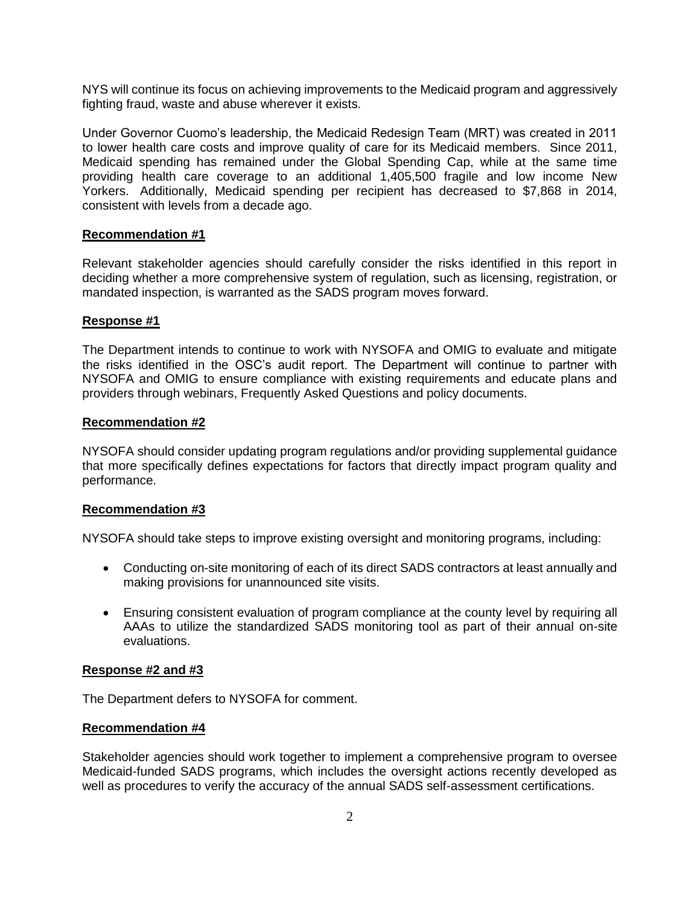NYS will continue its focus on achieving improvements to the Medicaid program and aggressively fighting fraud, waste and abuse wherever it exists.

Under Governor Cuomo's leadership, the Medicaid Redesign Team (MRT) was created in 2011 to lower health care costs and improve quality of care for its Medicaid members. Since 2011, Medicaid spending has remained under the Global Spending Cap, while at the same time providing health care coverage to an additional 1,405,500 fragile and low income New Yorkers. Additionally, Medicaid spending per recipient has decreased to \$7,868 in 2014, consistent with levels from a decade ago.

## **Recommendation #1**

Relevant stakeholder agencies should carefully consider the risks identified in this report in deciding whether a more comprehensive system of regulation, such as licensing, registration, or mandated inspection, is warranted as the SADS program moves forward.

## **Response #1**

The Department intends to continue to work with NYSOFA and OMIG to evaluate and mitigate the risks identified in the OSC's audit report. The Department will continue to partner with NYSOFA and OMIG to ensure compliance with existing requirements and educate plans and providers through webinars, Frequently Asked Questions and policy documents.

#### **Recommendation #2**

NYSOFA should consider updating program regulations and/or providing supplemental guidance that more specifically defines expectations for factors that directly impact program quality and performance.

## **Recommendation #3**

NYSOFA should take steps to improve existing oversight and monitoring programs, including:

- Conducting on-site monitoring of each of its direct SADS contractors at least annually and making provisions for unannounced site visits.
- Ensuring consistent evaluation of program compliance at the county level by requiring all AAAs to utilize the standardized SADS monitoring tool as part of their annual on-site evaluations.

#### **Response #2 and #3**

The Department defers to NYSOFA for comment.

#### **Recommendation #4**

Stakeholder agencies should work together to implement a comprehensive program to oversee Medicaid-funded SADS programs, which includes the oversight actions recently developed as well as procedures to verify the accuracy of the annual SADS self-assessment certifications.